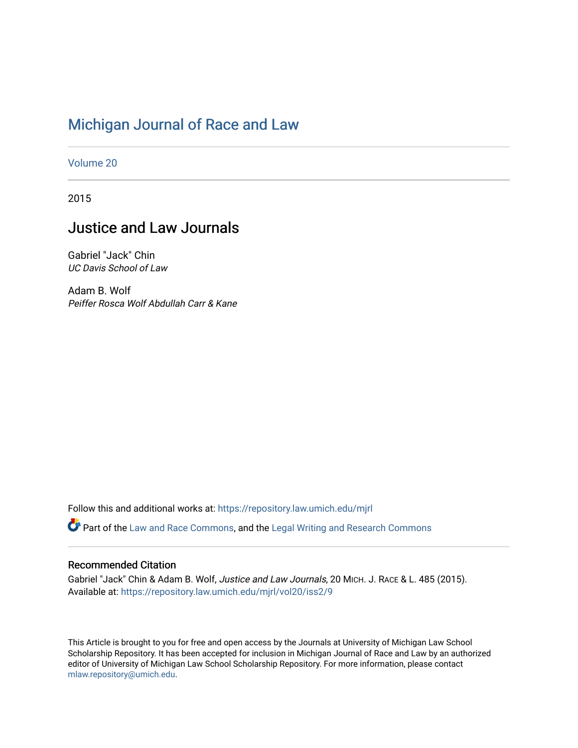# [Michigan Journal of Race and Law](https://repository.law.umich.edu/mjrl)

[Volume 20](https://repository.law.umich.edu/mjrl/vol20)

2015

## Justice and Law Journals

Gabriel "Jack" Chin UC Davis School of Law

Adam B. Wolf Peiffer Rosca Wolf Abdullah Carr & Kane

Follow this and additional works at: [https://repository.law.umich.edu/mjrl](https://repository.law.umich.edu/mjrl?utm_source=repository.law.umich.edu%2Fmjrl%2Fvol20%2Fiss2%2F9&utm_medium=PDF&utm_campaign=PDFCoverPages) 

Part of the [Law and Race Commons,](http://network.bepress.com/hgg/discipline/1300?utm_source=repository.law.umich.edu%2Fmjrl%2Fvol20%2Fiss2%2F9&utm_medium=PDF&utm_campaign=PDFCoverPages) and the [Legal Writing and Research Commons](http://network.bepress.com/hgg/discipline/614?utm_source=repository.law.umich.edu%2Fmjrl%2Fvol20%2Fiss2%2F9&utm_medium=PDF&utm_campaign=PDFCoverPages)

## Recommended Citation

Gabriel "Jack" Chin & Adam B. Wolf, Justice and Law Journals, 20 MICH. J. RACE & L. 485 (2015). Available at: [https://repository.law.umich.edu/mjrl/vol20/iss2/9](https://repository.law.umich.edu/mjrl/vol20/iss2/9?utm_source=repository.law.umich.edu%2Fmjrl%2Fvol20%2Fiss2%2F9&utm_medium=PDF&utm_campaign=PDFCoverPages) 

This Article is brought to you for free and open access by the Journals at University of Michigan Law School Scholarship Repository. It has been accepted for inclusion in Michigan Journal of Race and Law by an authorized editor of University of Michigan Law School Scholarship Repository. For more information, please contact [mlaw.repository@umich.edu.](mailto:mlaw.repository@umich.edu)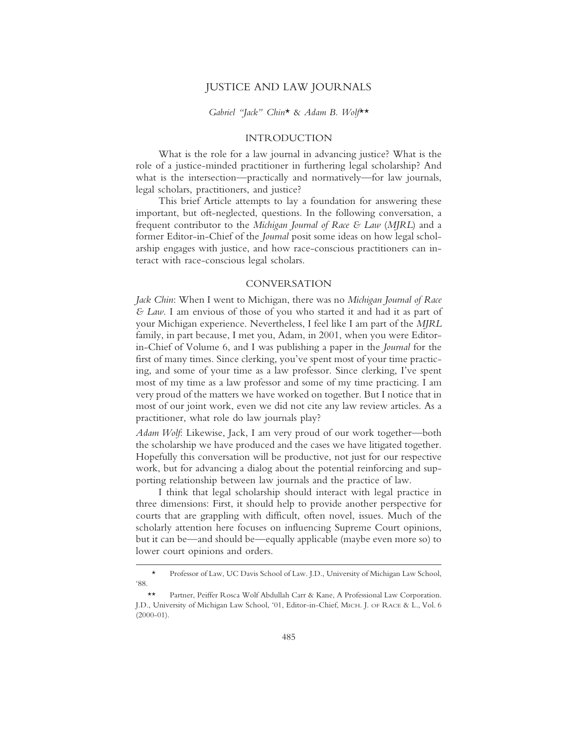### JUSTICE AND LAW JOURNALS

#### *Gabriel "Jack" Chin*\* & *Adam B. Wolf*\*\*

### INTRODUCTION

What is the role for a law journal in advancing justice? What is the role of a justice-minded practitioner in furthering legal scholarship? And what is the intersection—practically and normatively—for law journals, legal scholars, practitioners, and justice?

This brief Article attempts to lay a foundation for answering these important, but oft-neglected, questions. In the following conversation, a frequent contributor to the *Michigan Journal of Race & Law* (*MJRL*) and a former Editor-in-Chief of the *Journal* posit some ideas on how legal scholarship engages with justice, and how race-conscious practitioners can interact with race-conscious legal scholars.

#### CONVERSATION

*Jack Chin*: When I went to Michigan, there was no *Michigan Journal of Race & Law*. I am envious of those of you who started it and had it as part of your Michigan experience. Nevertheless, I feel like I am part of the *MJRL* family, in part because, I met you, Adam, in 2001, when you were Editorin-Chief of Volume 6, and I was publishing a paper in the *Journal* for the first of many times. Since clerking, you've spent most of your time practicing, and some of your time as a law professor. Since clerking, I've spent most of my time as a law professor and some of my time practicing. I am very proud of the matters we have worked on together. But I notice that in most of our joint work, even we did not cite any law review articles. As a practitioner, what role do law journals play?

*Adam Wolf*: Likewise, Jack, I am very proud of our work together—both the scholarship we have produced and the cases we have litigated together. Hopefully this conversation will be productive, not just for our respective work, but for advancing a dialog about the potential reinforcing and supporting relationship between law journals and the practice of law.

I think that legal scholarship should interact with legal practice in three dimensions: First, it should help to provide another perspective for courts that are grappling with difficult, often novel, issues. Much of the scholarly attention here focuses on influencing Supreme Court opinions, but it can be—and should be—equally applicable (maybe even more so) to lower court opinions and orders.

<sup>\*</sup> Professor of Law, UC Davis School of Law. J.D., University of Michigan Law School, '88.

Partner, Peiffer Rosca Wolf Abdullah Carr & Kane, A Professional Law Corporation. J.D., University of Michigan Law School, '01, Editor-in-Chief, MICH. J. OF RACE & L., Vol. 6  $(2000-01)$ .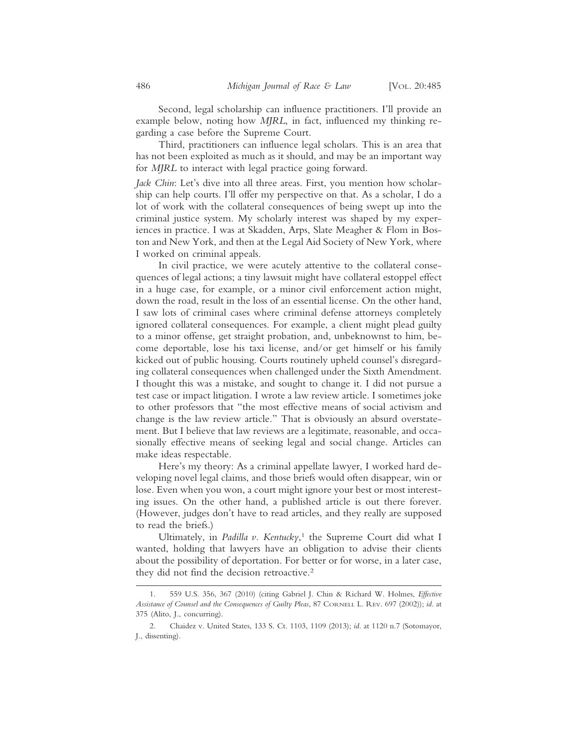Second, legal scholarship can influence practitioners. I'll provide an example below, noting how *MJRL*, in fact, influenced my thinking regarding a case before the Supreme Court.

Third, practitioners can influence legal scholars. This is an area that has not been exploited as much as it should, and may be an important way for *MJRL* to interact with legal practice going forward.

*Jack Chin*: Let's dive into all three areas. First, you mention how scholarship can help courts. I'll offer my perspective on that. As a scholar, I do a lot of work with the collateral consequences of being swept up into the criminal justice system. My scholarly interest was shaped by my experiences in practice. I was at Skadden, Arps, Slate Meagher & Flom in Boston and New York, and then at the Legal Aid Society of New York, where I worked on criminal appeals.

In civil practice, we were acutely attentive to the collateral consequences of legal actions; a tiny lawsuit might have collateral estoppel effect in a huge case, for example, or a minor civil enforcement action might, down the road, result in the loss of an essential license. On the other hand, I saw lots of criminal cases where criminal defense attorneys completely ignored collateral consequences. For example, a client might plead guilty to a minor offense, get straight probation, and, unbeknownst to him, become deportable, lose his taxi license, and/or get himself or his family kicked out of public housing. Courts routinely upheld counsel's disregarding collateral consequences when challenged under the Sixth Amendment. I thought this was a mistake, and sought to change it. I did not pursue a test case or impact litigation. I wrote a law review article. I sometimes joke to other professors that "the most effective means of social activism and change is the law review article." That is obviously an absurd overstatement. But I believe that law reviews are a legitimate, reasonable, and occasionally effective means of seeking legal and social change. Articles can make ideas respectable.

Here's my theory: As a criminal appellate lawyer, I worked hard developing novel legal claims, and those briefs would often disappear, win or lose. Even when you won, a court might ignore your best or most interesting issues. On the other hand, a published article is out there forever. (However, judges don't have to read articles, and they really are supposed to read the briefs.)

Ultimately, in *Padilla v. Kentucky*, 1 the Supreme Court did what I wanted, holding that lawyers have an obligation to advise their clients about the possibility of deportation. For better or for worse, in a later case, they did not find the decision retroactive.2

<sup>1. 559</sup> U.S. 356, 367 (2010) (citing Gabriel J. Chin & Richard W. Holmes, *Effective Assistance of Counsel and the Consequences of Guilty Pleas*, 87 CORNELL L. REV. 697 (2002)); *id*. at 375 (Alito, J., concurring).

<sup>2.</sup> Chaidez v. United States, 133 S. Ct. 1103, 1109 (2013); *id*. at 1120 n.7 (Sotomayor, J., dissenting).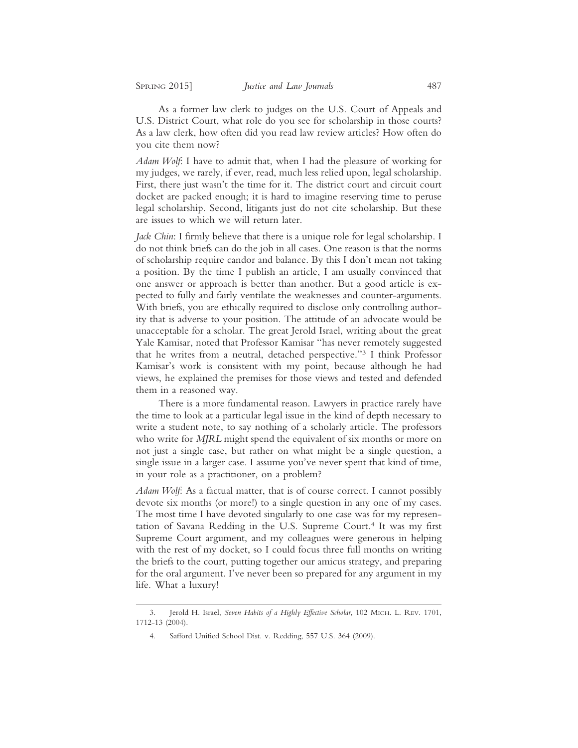As a former law clerk to judges on the U.S. Court of Appeals and U.S. District Court, what role do you see for scholarship in those courts? As a law clerk, how often did you read law review articles? How often do you cite them now?

*Adam Wolf*: I have to admit that, when I had the pleasure of working for my judges, we rarely, if ever, read, much less relied upon, legal scholarship. First, there just wasn't the time for it. The district court and circuit court docket are packed enough; it is hard to imagine reserving time to peruse legal scholarship. Second, litigants just do not cite scholarship. But these are issues to which we will return later.

*Jack Chin*: I firmly believe that there is a unique role for legal scholarship. I do not think briefs can do the job in all cases. One reason is that the norms of scholarship require candor and balance. By this I don't mean not taking a position. By the time I publish an article, I am usually convinced that one answer or approach is better than another. But a good article is expected to fully and fairly ventilate the weaknesses and counter-arguments. With briefs, you are ethically required to disclose only controlling authority that is adverse to your position. The attitude of an advocate would be unacceptable for a scholar. The great Jerold Israel, writing about the great Yale Kamisar, noted that Professor Kamisar "has never remotely suggested that he writes from a neutral, detached perspective."3 I think Professor Kamisar's work is consistent with my point, because although he had views, he explained the premises for those views and tested and defended them in a reasoned way.

There is a more fundamental reason. Lawyers in practice rarely have the time to look at a particular legal issue in the kind of depth necessary to write a student note, to say nothing of a scholarly article. The professors who write for *MJRL* might spend the equivalent of six months or more on not just a single case, but rather on what might be a single question, a single issue in a larger case. I assume you've never spent that kind of time, in your role as a practitioner, on a problem?

*Adam Wolf*: As a factual matter, that is of course correct. I cannot possibly devote six months (or more!) to a single question in any one of my cases. The most time I have devoted singularly to one case was for my representation of Savana Redding in the U.S. Supreme Court.<sup>4</sup> It was my first Supreme Court argument, and my colleagues were generous in helping with the rest of my docket, so I could focus three full months on writing the briefs to the court, putting together our amicus strategy, and preparing for the oral argument. I've never been so prepared for any argument in my life. What a luxury!

<sup>3.</sup> Jerold H. Israel, *Seven Habits of a Highly Effective Scholar*, 102 MICH. L. REV. 1701, 1712-13 (2004).

<sup>4.</sup> Safford Unified School Dist. v. Redding, 557 U.S. 364 (2009).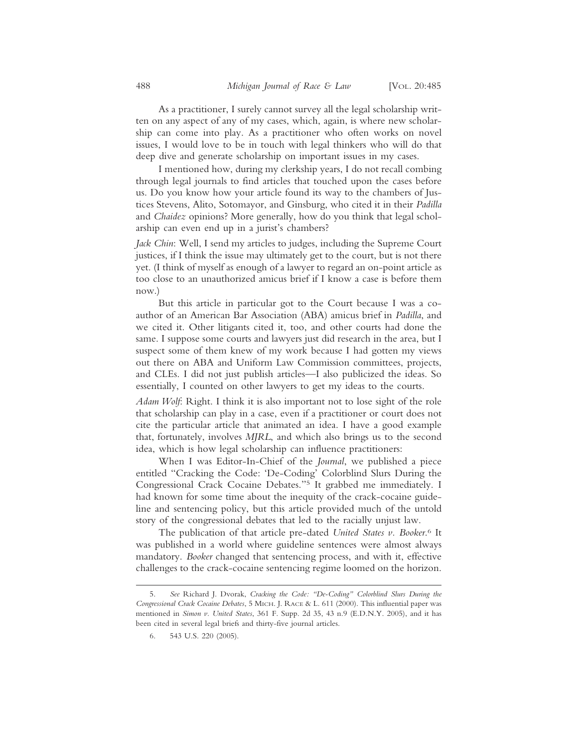As a practitioner, I surely cannot survey all the legal scholarship written on any aspect of any of my cases, which, again, is where new scholarship can come into play. As a practitioner who often works on novel issues, I would love to be in touch with legal thinkers who will do that deep dive and generate scholarship on important issues in my cases.

I mentioned how, during my clerkship years, I do not recall combing through legal journals to find articles that touched upon the cases before us. Do you know how your article found its way to the chambers of Justices Stevens, Alito, Sotomayor, and Ginsburg, who cited it in their *Padilla* and *Chaidez* opinions? More generally, how do you think that legal scholarship can even end up in a jurist's chambers?

*Jack Chin*: Well, I send my articles to judges, including the Supreme Court justices, if I think the issue may ultimately get to the court, but is not there yet. (I think of myself as enough of a lawyer to regard an on-point article as too close to an unauthorized amicus brief if I know a case is before them now.)

But this article in particular got to the Court because I was a coauthor of an American Bar Association (ABA) amicus brief in *Padilla*, and we cited it. Other litigants cited it, too, and other courts had done the same. I suppose some courts and lawyers just did research in the area, but I suspect some of them knew of my work because I had gotten my views out there on ABA and Uniform Law Commission committees, projects, and CLEs. I did not just publish articles—I also publicized the ideas. So essentially, I counted on other lawyers to get my ideas to the courts.

*Adam Wolf*: Right. I think it is also important not to lose sight of the role that scholarship can play in a case, even if a practitioner or court does not cite the particular article that animated an idea. I have a good example that, fortunately, involves *MJRL*, and which also brings us to the second idea, which is how legal scholarship can influence practitioners:

When I was Editor-In-Chief of the *Journal*, we published a piece entitled "Cracking the Code: 'De-Coding' Colorblind Slurs During the Congressional Crack Cocaine Debates."5 It grabbed me immediately. I had known for some time about the inequity of the crack-cocaine guideline and sentencing policy, but this article provided much of the untold story of the congressional debates that led to the racially unjust law.

The publication of that article pre-dated *United States v. Booker*. 6 It was published in a world where guideline sentences were almost always mandatory. *Booker* changed that sentencing process, and with it, effective challenges to the crack-cocaine sentencing regime loomed on the horizon.

<sup>5.</sup> *See* Richard J. Dvorak, *Cracking the Code: "De-Coding" Colorblind Slurs During the Congressional Crack Cocaine Debates*, 5 MICH. J. RACE & L. 611 (2000). This influential paper was mentioned in *Simon v. United States*, 361 F. Supp. 2d 35, 43 n.9 (E.D.N.Y. 2005), and it has been cited in several legal briefs and thirty-five journal articles.

<sup>6. 543</sup> U.S. 220 (2005).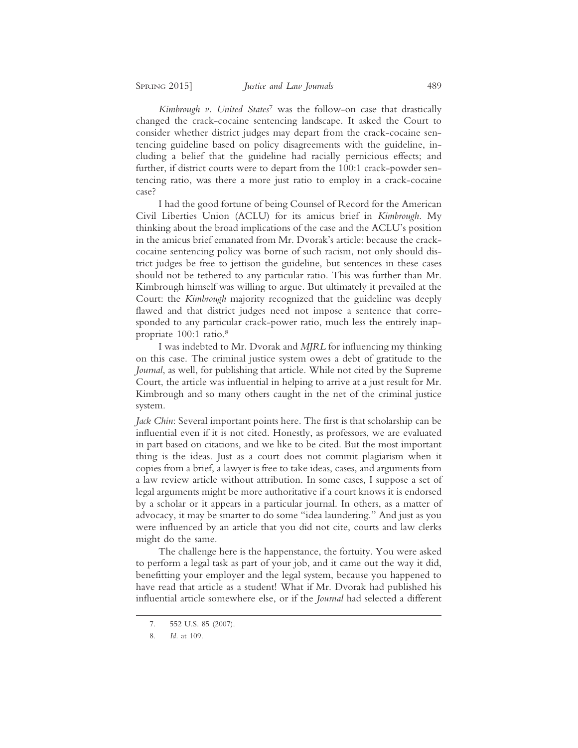*Kimbrough v. United States*7 was the follow-on case that drastically changed the crack-cocaine sentencing landscape. It asked the Court to consider whether district judges may depart from the crack-cocaine sentencing guideline based on policy disagreements with the guideline, including a belief that the guideline had racially pernicious effects; and further, if district courts were to depart from the 100:1 crack-powder sentencing ratio, was there a more just ratio to employ in a crack-cocaine case?

I had the good fortune of being Counsel of Record for the American Civil Liberties Union (ACLU) for its amicus brief in *Kimbrough*. My thinking about the broad implications of the case and the ACLU's position in the amicus brief emanated from Mr. Dvorak's article: because the crackcocaine sentencing policy was borne of such racism, not only should district judges be free to jettison the guideline, but sentences in these cases should not be tethered to any particular ratio. This was further than Mr. Kimbrough himself was willing to argue. But ultimately it prevailed at the Court: the *Kimbrough* majority recognized that the guideline was deeply flawed and that district judges need not impose a sentence that corresponded to any particular crack-power ratio, much less the entirely inappropriate 100:1 ratio.8

I was indebted to Mr. Dvorak and *MJRL* for influencing my thinking on this case. The criminal justice system owes a debt of gratitude to the *Journal*, as well, for publishing that article. While not cited by the Supreme Court, the article was influential in helping to arrive at a just result for Mr. Kimbrough and so many others caught in the net of the criminal justice system.

*Jack Chin*: Several important points here. The first is that scholarship can be influential even if it is not cited. Honestly, as professors, we are evaluated in part based on citations, and we like to be cited. But the most important thing is the ideas. Just as a court does not commit plagiarism when it copies from a brief, a lawyer is free to take ideas, cases, and arguments from a law review article without attribution. In some cases, I suppose a set of legal arguments might be more authoritative if a court knows it is endorsed by a scholar or it appears in a particular journal. In others, as a matter of advocacy, it may be smarter to do some "idea laundering." And just as you were influenced by an article that you did not cite, courts and law clerks might do the same.

The challenge here is the happenstance, the fortuity. You were asked to perform a legal task as part of your job, and it came out the way it did, benefitting your employer and the legal system, because you happened to have read that article as a student! What if Mr. Dvorak had published his influential article somewhere else, or if the *Journal* had selected a different

<sup>7. 552</sup> U.S. 85 (2007).

<sup>8.</sup> *Id.* at 109.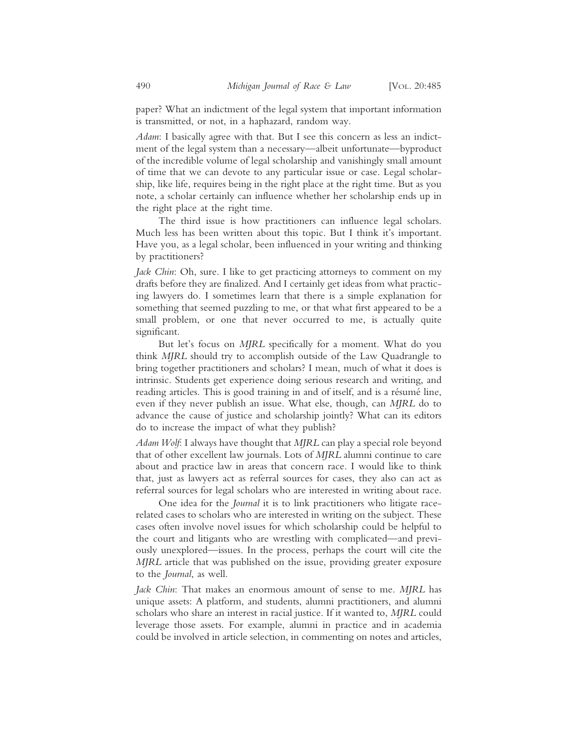paper? What an indictment of the legal system that important information is transmitted, or not, in a haphazard, random way.

*Adam*: I basically agree with that. But I see this concern as less an indictment of the legal system than a necessary—albeit unfortunate—byproduct of the incredible volume of legal scholarship and vanishingly small amount of time that we can devote to any particular issue or case. Legal scholarship, like life, requires being in the right place at the right time. But as you note, a scholar certainly can influence whether her scholarship ends up in the right place at the right time.

The third issue is how practitioners can influence legal scholars. Much less has been written about this topic. But I think it's important. Have you, as a legal scholar, been influenced in your writing and thinking by practitioners?

*Jack Chin*: Oh, sure. I like to get practicing attorneys to comment on my drafts before they are finalized. And I certainly get ideas from what practicing lawyers do. I sometimes learn that there is a simple explanation for something that seemed puzzling to me, or that what first appeared to be a small problem, or one that never occurred to me, is actually quite significant.

But let's focus on *MJRL* specifically for a moment. What do you think *MJRL* should try to accomplish outside of the Law Quadrangle to bring together practitioners and scholars? I mean, much of what it does is intrinsic. Students get experience doing serious research and writing, and reading articles. This is good training in and of itself, and is a résumé line, even if they never publish an issue. What else, though, can *MJRL* do to advance the cause of justice and scholarship jointly? What can its editors do to increase the impact of what they publish?

*Adam Wolf*: I always have thought that *MJRL* can play a special role beyond that of other excellent law journals. Lots of *MJRL* alumni continue to care about and practice law in areas that concern race. I would like to think that, just as lawyers act as referral sources for cases, they also can act as referral sources for legal scholars who are interested in writing about race.

One idea for the *Journal* it is to link practitioners who litigate racerelated cases to scholars who are interested in writing on the subject. These cases often involve novel issues for which scholarship could be helpful to the court and litigants who are wrestling with complicated—and previously unexplored—issues. In the process, perhaps the court will cite the *MJRL* article that was published on the issue, providing greater exposure to the *Journal*, as well.

*Jack Chin*: That makes an enormous amount of sense to me. *MJRL* has unique assets: A platform, and students, alumni practitioners, and alumni scholars who share an interest in racial justice. If it wanted to, *MJRL* could leverage those assets. For example, alumni in practice and in academia could be involved in article selection, in commenting on notes and articles,